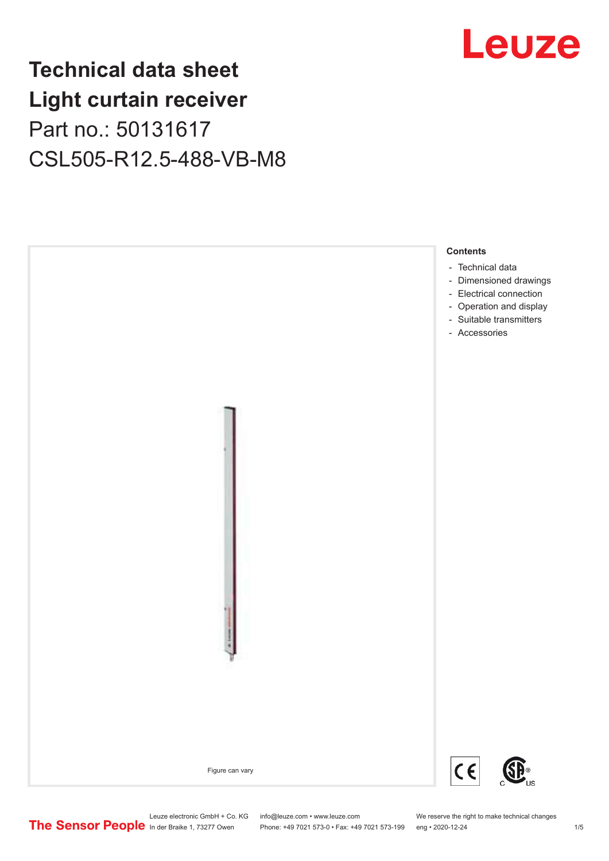## **Technical data sheet Light curtain receiver** Part no.: 50131617 CSL505-R12.5-488-VB-M8





Leuze electronic GmbH + Co. KG info@leuze.com • www.leuze.com We reserve the right to make technical changes<br>
The Sensor People in der Braike 1, 73277 Owen Phone: +49 7021 573-0 • Fax: +49 7021 573-199 eng • 2020-12-24

Phone: +49 7021 573-0 • Fax: +49 7021 573-199 eng • 2020-12-24 1 2020-12-24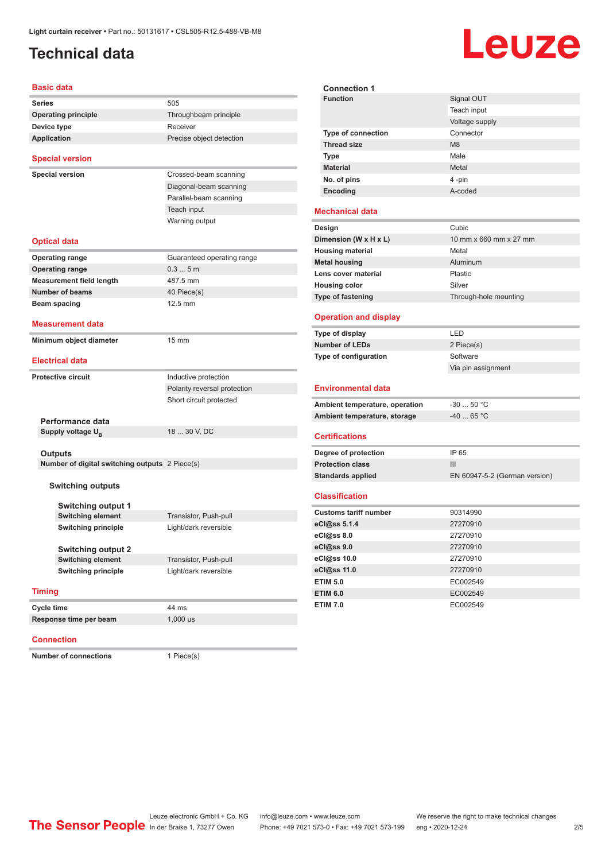### <span id="page-1-0"></span>**Technical data**

# Leuze

#### **Basic data**

| Basic data                                     |                              | <b>Connection 1</b>                             |                             |  |
|------------------------------------------------|------------------------------|-------------------------------------------------|-----------------------------|--|
| Series                                         | 505                          | <b>Function</b>                                 | Signal OU1                  |  |
| <b>Operating principle</b>                     | Throughbeam principle        |                                                 | Teach inpu                  |  |
| Device type                                    | Receiver                     |                                                 | Voltage sup                 |  |
| <b>Application</b>                             | Precise object detection     | <b>Type of connection</b><br><b>Thread size</b> | Connector<br>M <sub>8</sub> |  |
|                                                |                              | <b>Type</b>                                     | Male                        |  |
| <b>Special version</b>                         |                              | <b>Material</b>                                 | Metal                       |  |
| <b>Special version</b>                         | Crossed-beam scanning        | No. of pins                                     | 4 -pin                      |  |
|                                                | Diagonal-beam scanning       | Encoding                                        | A-coded                     |  |
|                                                | Parallel-beam scanning       |                                                 |                             |  |
|                                                | Teach input                  | <b>Mechanical data</b>                          |                             |  |
|                                                | Warning output               | Design                                          | Cubic                       |  |
|                                                |                              | Dimension (W x H x L)                           | 10 mm x 66                  |  |
| <b>Optical data</b>                            |                              |                                                 | Metal                       |  |
| <b>Operating range</b>                         | Guaranteed operating range   | <b>Housing material</b><br><b>Metal housing</b> | Aluminum                    |  |
| <b>Operating range</b>                         | 0.35m                        | Lens cover material                             | Plastic                     |  |
| <b>Measurement field length</b>                | 487.5 mm                     | <b>Housing color</b>                            | Silver                      |  |
| <b>Number of beams</b>                         | 40 Piece(s)                  |                                                 |                             |  |
| Beam spacing                                   | 12.5 mm                      | <b>Type of fastening</b>                        | Through-ho                  |  |
| <b>Measurement data</b>                        |                              | <b>Operation and display</b>                    |                             |  |
|                                                |                              | Type of display                                 | LED                         |  |
| Minimum object diameter                        | $15 \text{ mm}$              | <b>Number of LEDs</b>                           | 2 Piece(s)                  |  |
| <b>Electrical data</b>                         |                              | Type of configuration                           | Software                    |  |
|                                                |                              |                                                 | Via pin ass                 |  |
| <b>Protective circuit</b>                      | Inductive protection         |                                                 |                             |  |
|                                                | Polarity reversal protection | <b>Environmental data</b>                       |                             |  |
|                                                | Short circuit protected      | Ambient temperature, operation                  | $-30$ 50 $^{\circ}$ (       |  |
| Performance data                               |                              | Ambient temperature, storage                    | -40  65 ° (                 |  |
| Supply voltage U <sub>B</sub>                  | 18  30 V, DC                 |                                                 |                             |  |
|                                                |                              | <b>Certifications</b>                           |                             |  |
| <b>Outputs</b>                                 |                              | Degree of protection                            | IP 65                       |  |
| Number of digital switching outputs 2 Piece(s) |                              | <b>Protection class</b>                         | III                         |  |
|                                                |                              | <b>Standards applied</b>                        | EN 60947-                   |  |
| <b>Switching outputs</b>                       |                              |                                                 |                             |  |
|                                                |                              | <b>Classification</b>                           |                             |  |
| <b>Switching output 1</b>                      |                              | <b>Customs tariff number</b>                    | 90314990                    |  |
| <b>Switching element</b>                       | Transistor, Push-pull        | eCl@ss 5.1.4                                    | 27270910                    |  |
| <b>Switching principle</b>                     | Light/dark reversible        | eCl@ss 8.0                                      | 27270910                    |  |
| <b>Switching output 2</b>                      |                              | eCl@ss 9.0                                      | 27270910                    |  |
| <b>Switching element</b>                       | Transistor, Push-pull        | eCl@ss 10.0                                     | 27270910                    |  |
| <b>Switching principle</b>                     | Light/dark reversible        | eCl@ss 11.0                                     | 27270910                    |  |
|                                                |                              | <b>ETIM 5.0</b>                                 | EC002549                    |  |
| <b>Timing</b>                                  |                              | <b>ETIM 6.0</b>                                 | EC002549                    |  |
|                                                | 44 ms                        | <b>ETIM 7.0</b>                                 | EC002549                    |  |
| Cycle time<br>Response time per beam           |                              |                                                 |                             |  |
|                                                | $1,000 \,\mu s$              |                                                 |                             |  |

#### **Connection**

**Number of connections** 1 Piece(s)

| , JUILLELLIUI                  |                               |
|--------------------------------|-------------------------------|
| <b>Function</b>                | Signal OUT                    |
|                                | Teach input                   |
|                                | Voltage supply                |
| <b>Type of connection</b>      | Connector                     |
| <b>Thread size</b>             | M <sub>8</sub>                |
| Type                           | Male                          |
| <b>Material</b>                | Metal                         |
| No. of pins                    | 4-pin                         |
| Encoding                       | A-coded                       |
| <b>Mechanical data</b>         |                               |
| Design                         | Cubic                         |
| Dimension (W x H x L)          | 10 mm x 660 mm x 27 mm        |
| <b>Housing material</b>        | Metal                         |
| <b>Metal housing</b>           | Aluminum                      |
| Lens cover material            | Plastic                       |
| <b>Housing color</b>           | Silver                        |
| Type of fastening              | Through-hole mounting         |
| <b>Operation and display</b>   |                               |
|                                |                               |
| Type of display                | LED                           |
| <b>Number of LEDs</b>          | 2 Piece(s)                    |
| Type of configuration          | Software                      |
|                                | Via pin assignment            |
| <b>Environmental data</b>      |                               |
| Ambient temperature, operation | $-3050 °C$                    |
| Ambient temperature, storage   | $-40$ 65 °C                   |
| <b>Certifications</b>          |                               |
| Degree of protection           | IP 65                         |
| <b>Protection class</b>        | III                           |
| <b>Standards applied</b>       | EN 60947-5-2 (German version) |
| <b>Classification</b>          |                               |
| <b>Customs tariff number</b>   | 90314990                      |
| eCl@ss 5.1.4                   | 27270910                      |
| eCl@ss 8.0                     | 27270910                      |
| eCl@ss 9.0                     | 27270910                      |
| eCl@ss 10.0                    | 27270910                      |
| eCl@ss 11.0                    | 27270910                      |
| <b>ETIM 5.0</b>                | EC002549                      |
| <b>ETIM 6.0</b>                | EC002549                      |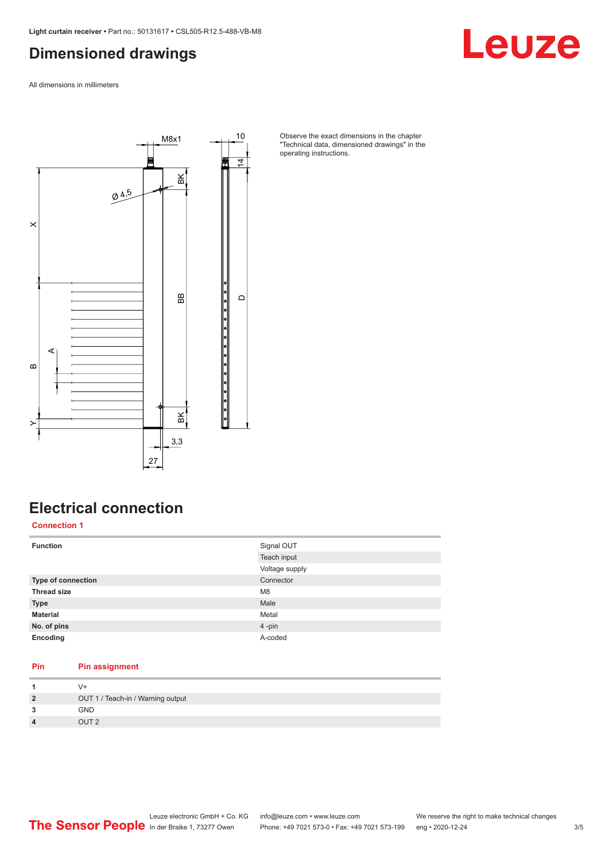#### <span id="page-2-0"></span>**Dimensioned drawings**

Leuze

All dimensions in millimeters



Observe the exact dimensions in the chapter "Technical data, dimensioned drawings" in the operating instructions.

### **Electrical connection**

**Connection 1**

| <b>Function</b>           | Signal OUT     |
|---------------------------|----------------|
|                           | Teach input    |
|                           | Voltage supply |
| <b>Type of connection</b> | Connector      |
| <b>Thread size</b>        | M <sub>8</sub> |
| <b>Type</b>               | Male           |
| <b>Material</b>           | Metal          |
| No. of pins               | 4-pin          |
| Encoding                  | A-coded        |

#### **Pin Pin assignment**

|                         | $V +$                             |
|-------------------------|-----------------------------------|
| $\overline{2}$          | OUT 1 / Teach-in / Warning output |
| 3                       | <b>GND</b>                        |
| $\overline{\mathbf{4}}$ | OUT <sub>2</sub>                  |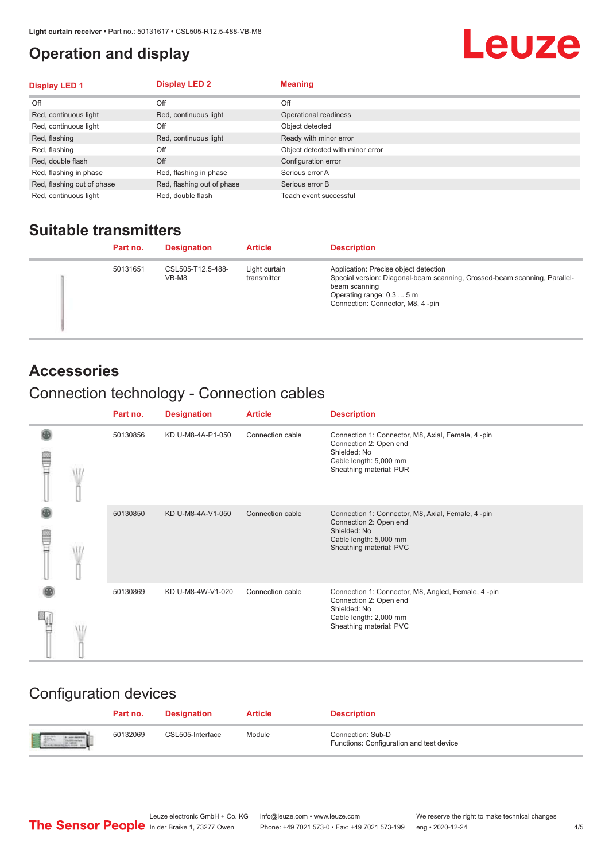#### <span id="page-3-0"></span>**Operation and display**

## Leuze

| Display LED 1              | <b>Display LED 2</b>       | <b>Meaning</b>                   |
|----------------------------|----------------------------|----------------------------------|
| Off                        | Off                        | Off                              |
| Red, continuous light      | Red, continuous light      | Operational readiness            |
| Red, continuous light      | Off                        | Object detected                  |
| Red, flashing              | Red, continuous light      | Ready with minor error           |
| Red, flashing              | Off                        | Object detected with minor error |
| Red, double flash          | Off                        | Configuration error              |
| Red, flashing in phase     | Red, flashing in phase     | Serious error A                  |
| Red, flashing out of phase | Red, flashing out of phase | Serious error B                  |
| Red, continuous light      | Red, double flash          | Teach event successful           |

#### **Suitable transmitters**

| Part no. | <b>Designation</b>         | <b>Article</b>               | <b>Description</b>                                                                                                                                                                                   |
|----------|----------------------------|------------------------------|------------------------------------------------------------------------------------------------------------------------------------------------------------------------------------------------------|
| 50131651 | CSL505-T12.5-488-<br>VB-M8 | Light curtain<br>transmitter | Application: Precise object detection<br>Special version: Diagonal-beam scanning, Crossed-beam scanning, Parallel-<br>beam scanning<br>Operating range: 0.3  5 m<br>Connection: Connector, M8, 4-pin |

#### **Accessories**

### Connection technology - Connection cables

|   | Part no. | <b>Designation</b> | <b>Article</b>   | <b>Description</b>                                                                                                                                |
|---|----------|--------------------|------------------|---------------------------------------------------------------------------------------------------------------------------------------------------|
| ŧ | 50130856 | KD U-M8-4A-P1-050  | Connection cable | Connection 1: Connector, M8, Axial, Female, 4-pin<br>Connection 2: Open end<br>Shielded: No<br>Cable length: 5,000 mm<br>Sheathing material: PUR  |
|   | 50130850 | KD U-M8-4A-V1-050  | Connection cable | Connection 1: Connector, M8, Axial, Female, 4 -pin<br>Connection 2: Open end<br>Shielded: No<br>Cable length: 5,000 mm<br>Sheathing material: PVC |
|   | 50130869 | KD U-M8-4W-V1-020  | Connection cable | Connection 1: Connector, M8, Angled, Female, 4-pin<br>Connection 2: Open end<br>Shielded: No<br>Cable length: 2,000 mm<br>Sheathing material: PVC |

#### Configuration devices

|                           | Part no. | <b>Designation</b> | <b>Article</b> | <b>Description</b>                                            |
|---------------------------|----------|--------------------|----------------|---------------------------------------------------------------|
| the product of the second | 50132069 | CSL505-Interface   | Module         | Connection: Sub-D<br>Functions: Configuration and test device |